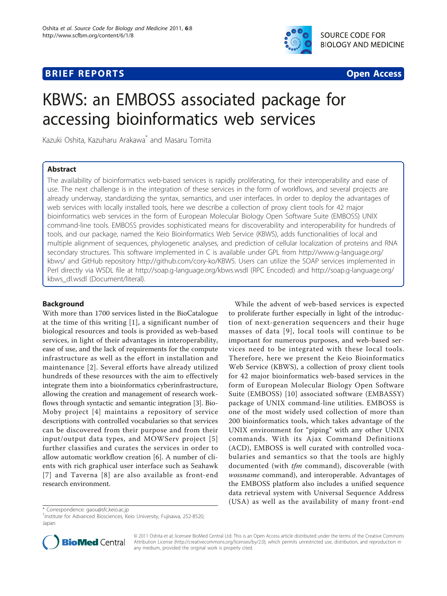

# **BRIEF REPORTS SECOND CONTRACT CONTRACT CONTRACT CONTRACT CONTRACT CONTRACT CONTRACT CONTRACT CONTRACT CONTRACT CONTRACT CONTRACT CONTRACT CONTRACT CONTRACT CONTRACT CONTRACT CONTRACT CONTRACT CONTRACT CONTRACT CONTRACT**



# KBWS: an EMBOSS associated package for accessing bioinformatics web services

Kazuki Oshita, Kazuharu Arakawa\* and Masaru Tomita

# Abstract

The availability of bioinformatics web-based services is rapidly proliferating, for their interoperability and ease of use. The next challenge is in the integration of these services in the form of workflows, and several projects are already underway, standardizing the syntax, semantics, and user interfaces. In order to deploy the advantages of web services with locally installed tools, here we describe a collection of proxy client tools for 42 major bioinformatics web services in the form of European Molecular Biology Open Software Suite (EMBOSS) UNIX command-line tools. EMBOSS provides sophisticated means for discoverability and interoperability for hundreds of tools, and our package, named the Keio Bioinformatics Web Service (KBWS), adds functionalities of local and multiple alignment of sequences, phylogenetic analyses, and prediction of cellular localization of proteins and RNA secondary structures. This software implemented in C is available under GPL from [http://www.g-language.org/](http://www.g-language.org/kbws/) [kbws/](http://www.g-language.org/kbws/) and GitHub repository<http://github.com/cory-ko/KBWS>. Users can utilize the SOAP services implemented in Perl directly via WSDL file at<http://soap.g-language.org/kbws.wsdl> (RPC Encoded) and [http://soap.g-language.org/](http://soap.g-language.org/kbws_dl.wsdl) [kbws\\_dl.wsdl](http://soap.g-language.org/kbws_dl.wsdl) (Document/literal).

# Background

With more than 1700 services listed in the BioCatalogue at the time of this writing [\[1\]](#page-3-0), a significant number of biological resources and tools is provided as web-based services, in light of their advantages in interoperability, ease of use, and the lack of requirements for the compute infrastructure as well as the effort in installation and maintenance [\[2\]](#page-3-0). Several efforts have already utilized hundreds of these resources with the aim to effectively integrate them into a bioinformatics cyberinfrastructure, allowing the creation and management of research workflows through syntactic and semantic integration [[3\]](#page-3-0). Bio-Moby project [[4](#page-3-0)] maintains a repository of service descriptions with controlled vocabularies so that services can be discovered from their purpose and from their input/output data types, and MOWServ project [[5](#page-3-0)] further classifies and curates the services in order to allow automatic workflow creation [\[6](#page-3-0)]. A number of clients with rich graphical user interface such as Seahawk [[7\]](#page-3-0) and Taverna [[8\]](#page-3-0) are also available as front-end research environment.

While the advent of web-based services is expected to proliferate further especially in light of the introduction of next-generation sequencers and their huge masses of data [[9](#page-3-0)], local tools will continue to be important for numerous purposes, and web-based services need to be integrated with these local tools. Therefore, here we present the Keio Bioinformatics Web Service (KBWS), a collection of proxy client tools for 42 major bioinformatics web-based services in the form of European Molecular Biology Open Software Suite (EMBOSS) [[10](#page-3-0)] associated software (EMBASSY) package of UNIX command-line utilities. EMBOSS is one of the most widely used collection of more than 200 bioinformatics tools, which takes advantage of the UNIX environment for "piping" with any other UNIX commands. With its Ajax Command Definitions (ACD), EMBOSS is well curated with controlled vocabularies and semantics so that the tools are highly documented (with *tfm* command), discoverable (with wossname command), and interoperable. Advantages of the EMBOSS platform also includes a unified sequence data retrieval system with Universal Sequence Address (USA) as well as the availability of many front-end

\* Correspondence: [gaou@sfc.keio.ac.jp](mailto:gaou@sfc.keio.ac.jp)

<sup>1</sup>Institute for Advanced Biosciences, Keio University, Fujisawa, 252-8520, Japan



© 2011 Oshita et al; licensee BioMed Central Ltd. This is an Open Access article distributed under the terms of the Creative Commons Attribution License [\(http://creativecommons.org/licenses/by/2.0](http://creativecommons.org/licenses/by/2.0)), which permits unrestricted use, distribution, and reproduction in any medium, provided the original work is properly cited.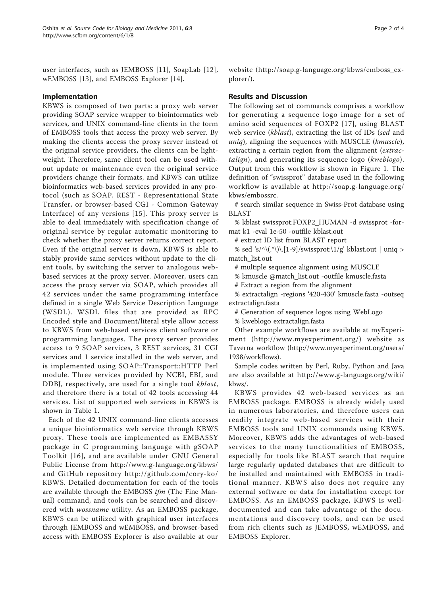user interfaces, such as JEMBOSS [[11\]](#page-3-0), SoapLab [[12\]](#page-3-0), wEMBOSS [[13\]](#page-3-0), and EMBOSS Explorer [\[14](#page-3-0)].

## Implementation

KBWS is composed of two parts: a proxy web server providing SOAP service wrapper to bioinformatics web services, and UNIX command-line clients in the form of EMBOSS tools that access the proxy web server. By making the clients access the proxy server instead of the original service providers, the clients can be lightweight. Therefore, same client tool can be used without update or maintenance even the original service providers change their formats, and KBWS can utilize bioinformatics web-based services provided in any protocol (such as SOAP, REST - Representational State Transfer, or browser-based CGI - Common Gateway Interface) of any versions [[15](#page-3-0)]. This proxy server is able to deal immediately with specification change of original service by regular automatic monitoring to check whether the proxy server returns correct report. Even if the original server is down, KBWS is able to stably provide same services without update to the client tools, by switching the server to analogous webbased services at the proxy server. Moreover, users can access the proxy server via SOAP, which provides all 42 services under the same programming interface defined in a single Web Service Description Language (WSDL). WSDL files that are provided as RPC Encoded style and Document/literal style allow access to KBWS from web-based services client software or programming languages. The proxy server provides access to 9 SOAP services, 3 REST services, 31 CGI services and 1 service installed in the web server, and is implemented using SOAP::Transport::HTTP Perl module. Three services provided by NCBI, EBI, and DDBJ, respectively, are used for a single tool kblast, and therefore there is a total of 42 tools accessing 44 services. List of supported web services in KBWS is shown in Table [1](#page-2-0).

Each of the 42 UNIX command-line clients accesses a unique bioinformatics web service through KBWS proxy. These tools are implemented as EMBASSY package in C programming language with gSOAP Toolkit [[16](#page-3-0)], and are available under GNU General Public License from<http://www.g-language.org/kbws/> and GitHub repository [http://github.com/cory-ko/](http://github.com/cory-ko/KBWS) [KBWS](http://github.com/cory-ko/KBWS). Detailed documentation for each of the tools are available through the EMBOSS tfm (The Fine Manual) command, and tools can be searched and discovered with wossname utility. As an EMBOSS package, KBWS can be utilized with graphical user interfaces through JEMBOSS and wEMBOSS, and browser-based access with EMBOSS Explorer is also available at our website ([http://soap.g-language.org/kbws/emboss\\_ex](http://soap.g-language.org/kbws/emboss_explorer/)[plorer/](http://soap.g-language.org/kbws/emboss_explorer/)).

## Results and Discussion

The following set of commands comprises a workflow for generating a sequence logo image for a set of amino acid sequences of FOXP2 [[17\]](#page-3-0), using BLAST web service (kblast), extracting the list of IDs (sed and uniq), aligning the sequences with MUSCLE (kmuscle), extracting a certain region from the alignment (extractalign), and generating its sequence logo (kweblogo). Output from this workflow is shown in Figure [1.](#page-2-0) The definition of "swissprot" database used in the following workflow is available at [http://soap.g-language.org/](http://soap.g-language.org/kbws/embossrc) [kbws/embossrc](http://soap.g-language.org/kbws/embossrc).

# search similar sequence in Swiss-Prot database using BLAST

% kblast swissprot:FOXP2\_HUMAN -d swissprot -format k1 -eval 1e-50 -outfile kblast.out

# extract ID list from BLAST report

% sed 's/^\(.\*\)\.[[1-9](#page-3-0)]/swissprot:\1/g' kblast.out | uniq > match\_list.out

# multiple sequence alignment using MUSCLE

% kmuscle @match\_list.out -outfile kmuscle.fasta

# Extract a region from the alignment

% extractalign -regions '420-430' kmuscle.fasta -outseq extractalign.fasta

# Generation of sequence logos using WebLogo

% kweblogo extractalign.fasta

Other example workflows are available at myExperiment (<http://www.myexperiment.org/>) website as Taverna workflow [\(http://www.myexperiment.org/users/](http://www.myexperiment.org/users/1938/workflows) [1938/workflows](http://www.myexperiment.org/users/1938/workflows)).

Sample codes written by Perl, Ruby, Python and Java are also available at [http://www.g-language.org/wiki/](http://www.g-language.org/wiki/kbws/) [kbws/.](http://www.g-language.org/wiki/kbws/)

KBWS provides 42 web-based services as an EMBOSS package. EMBOSS is already widely used in numerous laboratories, and therefore users can readily integrate web-based services with their EMBOSS tools and UNIX commands using KBWS. Moreover, KBWS adds the advantages of web-based services to the many functionalities of EMBOSS, especially for tools like BLAST search that require large regularly updated databases that are difficult to be installed and maintained with EMBOSS in traditional manner. KBWS also does not require any external software or data for installation except for EMBOSS. As an EMBOSS package, KBWS is welldocumented and can take advantage of the documentations and discovery tools, and can be used from rich clients such as JEMBOSS, wEMBOSS, and EMBOSS Explorer.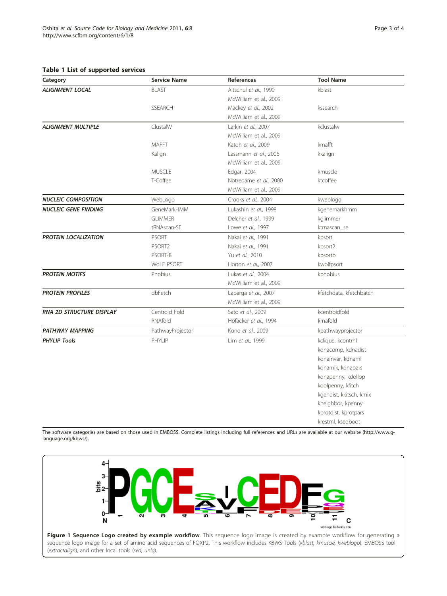### <span id="page-2-0"></span>Table 1 List of supported services

| Category                    | <b>Service Name</b> | References             | <b>Tool Name</b>        |
|-----------------------------|---------------------|------------------------|-------------------------|
| <b>ALIGNMENT LOCAL</b>      | <b>BLAST</b>        | Altschul et al., 1990  | kblast                  |
|                             |                     | McWilliam et al., 2009 |                         |
|                             | <b>SSEARCH</b>      | Mackey et al., 2002    | kssearch                |
|                             |                     | McWilliam et al., 2009 |                         |
| <b>ALIGNMENT MULTIPLE</b>   | ClustalW            | Larkin et al., 2007    | kclustalw               |
|                             |                     | McWilliam et al., 2009 |                         |
|                             | <b>MAFFT</b>        | Katoh et al., 2009     | kmafft                  |
|                             | Kalign              | Lassmann et al., 2006  | kkalign                 |
|                             |                     | McWilliam et al., 2009 |                         |
|                             | <b>MUSCLE</b>       | Edgar, 2004            | kmuscle                 |
|                             | T-Coffee            | Notredame et al., 2000 | ktcoffee                |
|                             |                     | McWilliam et al., 2009 |                         |
| <b>NUCLEIC COMPOSITION</b>  | WebLogo             | Crooks et al., 2004    | kweblogo                |
| <b>NUCLEIC GENE FINDING</b> | GeneMarkHMM         | Lukashin et al., 1998  | kgenemarkhmm            |
|                             | <b>GLIMMER</b>      | Delcher et al., 1999   | kglimmer                |
|                             | tRNAscan-SE         | Lowe et al., 1997      | ktrnascan_se            |
| <b>PROTEIN LOCALIZATION</b> | <b>PSORT</b>        | Nakai et al., 1991     | kpsort                  |
|                             | PSORT2              | Nakai et al., 1991     | kpsort2                 |
|                             | PSORT-B             | Yu et al., 2010        | kpsortb                 |
|                             | WoLF PSORT          | Horton et al., 2007    | kwolfpsort              |
| <b>PROTEIN MOTIFS</b>       | Phobius             | Lukas et al., 2004     | kphobius                |
|                             |                     | McWilliam et al., 2009 |                         |
| <b>PROTEIN PROFILES</b>     | dbFetch             | Labarga et al., 2007   | kfetchdata, kfetchbatch |
|                             |                     | McWilliam et al., 2009 |                         |
| RNA 2D STRUCTURE DISPLAY    | Centroid Fold       | Sato et al., 2009      | kcentroidfold           |
|                             | RNAfold             | Hofacker et al., 1994  | krnafold                |
| PATHWAY MAPPING             | PathwayProjector    | Kono et al., 2009      | kpathwayprojector       |
| <b>PHYLIP Tools</b>         | PHYLIP              | Lim et al., 1999       | kclique, kcontml        |
|                             |                     |                        | kdnacomp, kdnadist      |
|                             |                     |                        | kdnainvar, kdnaml       |
|                             |                     |                        | kdnamlk, kdnapars       |
|                             |                     |                        | kdnapenny, kdollop      |
|                             |                     |                        | kdolpenny, kfitch       |
|                             |                     |                        | kgendist, kkitsch, kmix |
|                             |                     |                        | kneighbor, kpenny       |
|                             |                     |                        | kprotdist, kprotpars    |
|                             |                     |                        | krestml, kseqboot       |

The software categories are based on those used in EMBOSS. Complete listings including full references and URLs are available at our website [\(http://www.g](http://www.g-language.org/kbws/)[language.org/kbws/\)](http://www.g-language.org/kbws/).